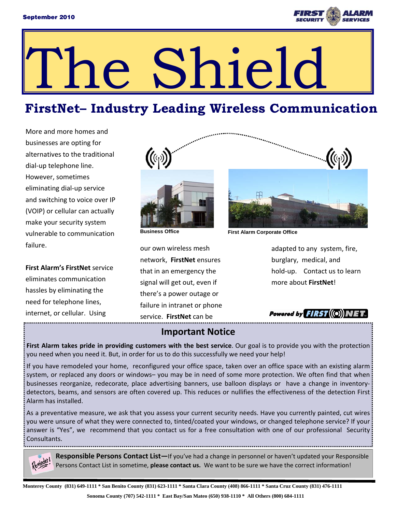

# The Shield

## **FirstNet– Industry Leading Wireless Communication**

More and more homes and businesses are opting for alternatives to the traditional dial‐up telephone line. However, sometimes eliminating dial‐up service and switching to voice over IP (VOIP) or cellular can actually make your security system vulnerable to communication failure.

**First Alarm's FirstNet** service eliminates communication hassles by eliminating the need for telephone lines, internet, or cellular. Using



our own wireless mesh network, **FirstNet** ensures that in an emergency the signal will get out, even if there's a power outage or failure in intranet or phone service. **FirstNet** can be

adapted to any system, fire, burglary, medical, and hold-up. Contact us to learn more about **FirstNet**!

Powered by  $FIRST((O))$ 

#### **Important Notice**

**First Alarm takes pride in providing customers with the best service**. Our goal is to provide you with the protection you need when you need it. But, in order for us to do this successfully we need your help!

If you have remodeled your home, reconfigured your office space, taken over an office space with an existing alarm system, or replaced any doors or windows– you may be in need of some more protection. We often find that when businesses reorganize, redecorate, place advertising banners, use balloon displays or have a change in inventorydetectors, beams, and sensors are often covered up. This reduces or nullifies the effectiveness of the detection First Alarm has installed.

As a preventative measure, we ask that you assess your current security needs. Have you currently painted, cut wires you were unsure of what they were connected to, tinted/coated your windows, or changed telephone service? If your answer is "Yes", we recommend that you contact us for a free consultation with one of our professional Security Consultants.

**Responsible Persons Contact List—**If you've had a change in personnel or haven't updated your Responsible Persons Contact List in sometime, **please contact us.** We want to be sure we have the correct information!

**Sonoma County (707) 542-1111 \* East Bay/San Mateo (650) 938-1110 \* All Others (800) 684-1111**